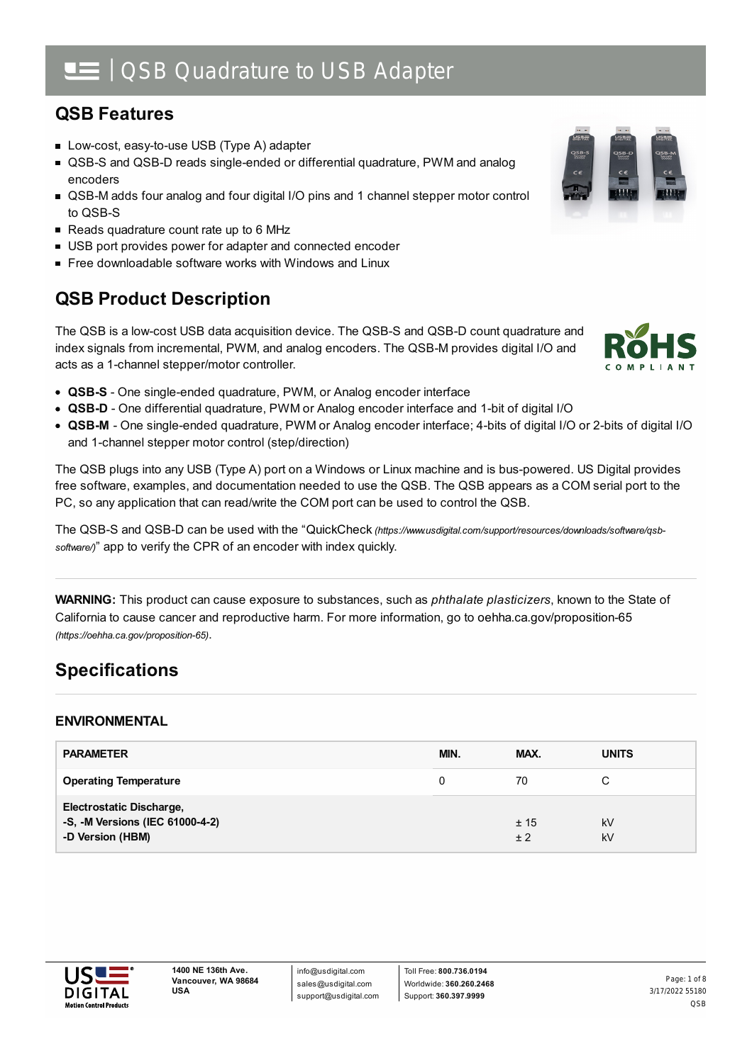# | QSB Quadrature to USB Adapter

## **QSB Features**

- Low-cost, easy-to-use USB (Type A) adapter
- QSB-S and QSB-D reads single-ended or differential quadrature, PWM and analog encoders
- QSB-M adds four analog and four digital I/O pins and 1 channel stepper motor control to QSB-S
- Reads quadrature count rate up to 6 MHz
- USB port provides power for adapter and connected encoder
- Free downloadable software works with Windows and Linux

## **QSB Product Description**

The QSB is a low-cost USB data acquisition device. The QSB-S and QSB-D count quadrature and index signals from incremental, PWM, and analog encoders. The QSB-M provides digital I/O and acts as a 1-channel stepper/motor controller.

- **QSB-S** One single-ended quadrature, PWM, or Analog encoder interface
- **QSB-D** One differential quadrature, PWM or Analog encoder interface and 1-bit of digital I/O
- **QSB-M** One single-ended quadrature, PWM or Analog encoder interface; 4-bits of digital I/O or 2-bits of digital I/O and 1-channel stepper motor control (step/direction)

The QSB plugs into any USB (Type A) port on a Windows or Linux machine and is bus-powered. US Digital provides free software, examples, and documentation needed to use the QSB. The QSB appears as a COM serial port to the PC, so any application that can read/write the COM port can be used to control the QSB.

The QSB-S and QSB-D can be used with the "QuickCheck *[\(https://www.usdigital.com/support/resources/downloads/software/qsb](https://www.usdigital.com/support/resources/downloads/software/qsb-software/)software/)*" app to verify the CPR of an encoder with index quickly.

**WARNING:** This product can cause exposure to substances, such as *phthalate plasticizers*, known to the State of California to cause cancer and reproductive harm. For more information, go to oehha.ca.gov/proposition-65 *(https://oehha.ca.gov/proposition-65)*.

# **Specifications**

### **ENVIRONMENTAL**

| <b>PARAMETER</b>                                                                       | MIN. | MAX.        | <b>UNITS</b> |
|----------------------------------------------------------------------------------------|------|-------------|--------------|
| <b>Operating Temperature</b>                                                           | 0    | 70          | С            |
| <b>Electrostatic Discharge,</b><br>-S, -M Versions (IEC 61000-4-2)<br>-D Version (HBM) |      | ± 15<br>± 2 | kV<br>kV     |



info@usdigital.com sales@usdigital.com support@usdigital.com

Toll Free: **800.736.0194** Worldwide: **360.260.2468** Support: **360.397.9999**



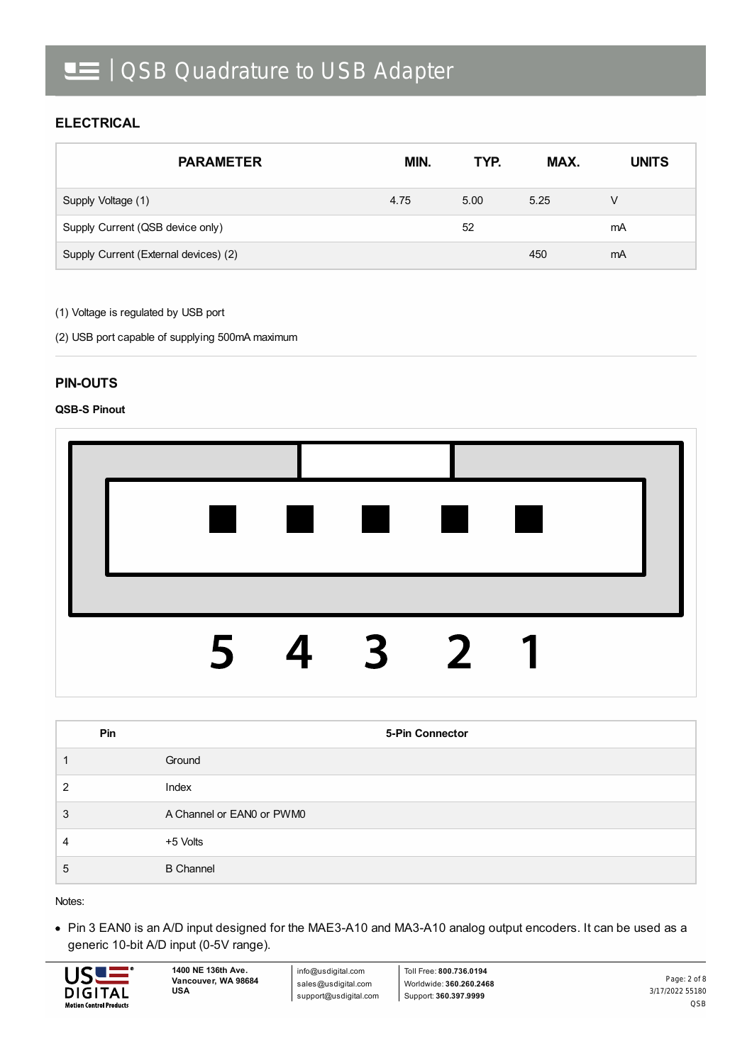### **ELECTRICAL**

| <b>PARAMETER</b>                      | MIN. | TYP. | MAX. | <b>UNITS</b> |
|---------------------------------------|------|------|------|--------------|
| Supply Voltage (1)                    | 4.75 | 5.00 | 5.25 | V            |
| Supply Current (QSB device only)      |      | 52   |      | mA           |
| Supply Current (External devices) (2) |      |      | 450  | mA           |

(1) Voltage is regulated by USB port

(2) USB port capable of supplying 500mA maximum

### **PIN-OUTS**

#### **QSB-S Pinout**



|   | Pin | 5-Pin Connector           |
|---|-----|---------------------------|
|   |     | Ground                    |
| 2 |     | Index                     |
| 3 |     | A Channel or EAN0 or PWM0 |
| 4 |     | +5 Volts                  |
| 5 |     | <b>B</b> Channel          |

Notes:

Pin 3 EAN0 is an A/D input designed for the MAE3-A10 and MA3-A10 analog output encoders. It can be used as a generic 10-bit A/D input (0-5V range).



info@usdigital.com sales@usdigital.com support@usdigital.com

Toll Free: **800.736.0194** Worldwide: **360.260.2468** Support: **360.397.9999**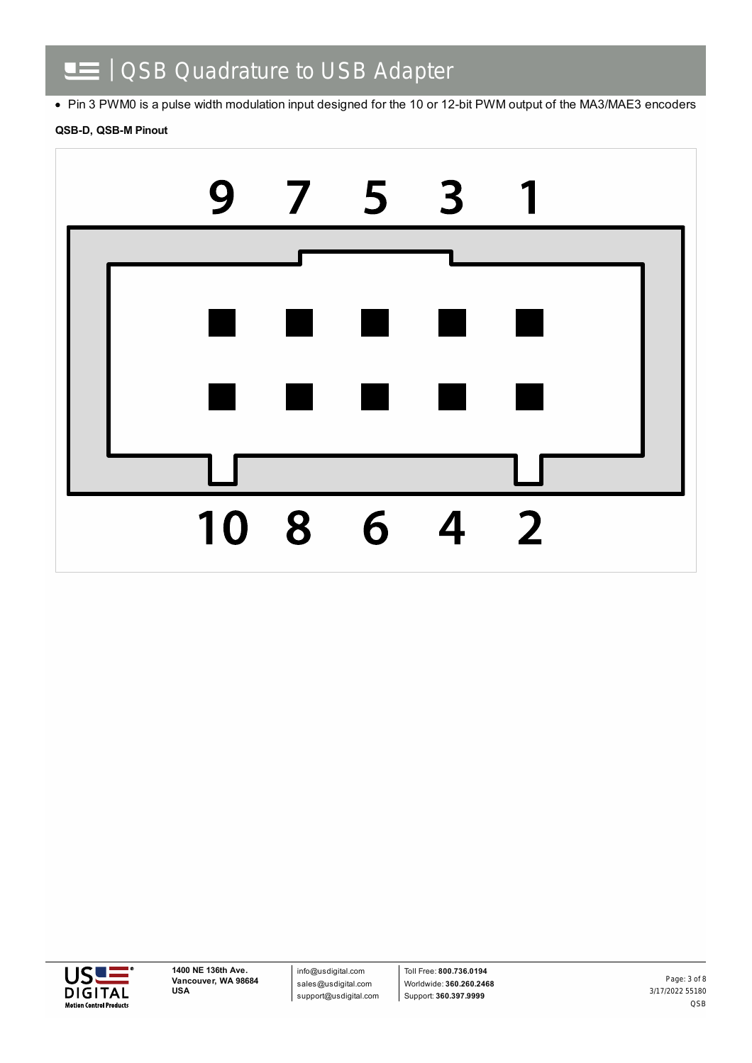#### | QSB Quadrature to USB Adapter Œ

• Pin 3 PWM0 is a pulse width modulation input designed for the 10 or 12-bit PWM output of the MA3/MAE3 encoders

#### **QSB-D, QSB-M Pinout**





info@usdigital.com sales@usdigital.com support@usdigital.com

Toll Free: **800.736.0194** Worldwide: **360.260.2468** Support: **360.397.9999**

3/17/2022 55180 QSB Page: 3 of 8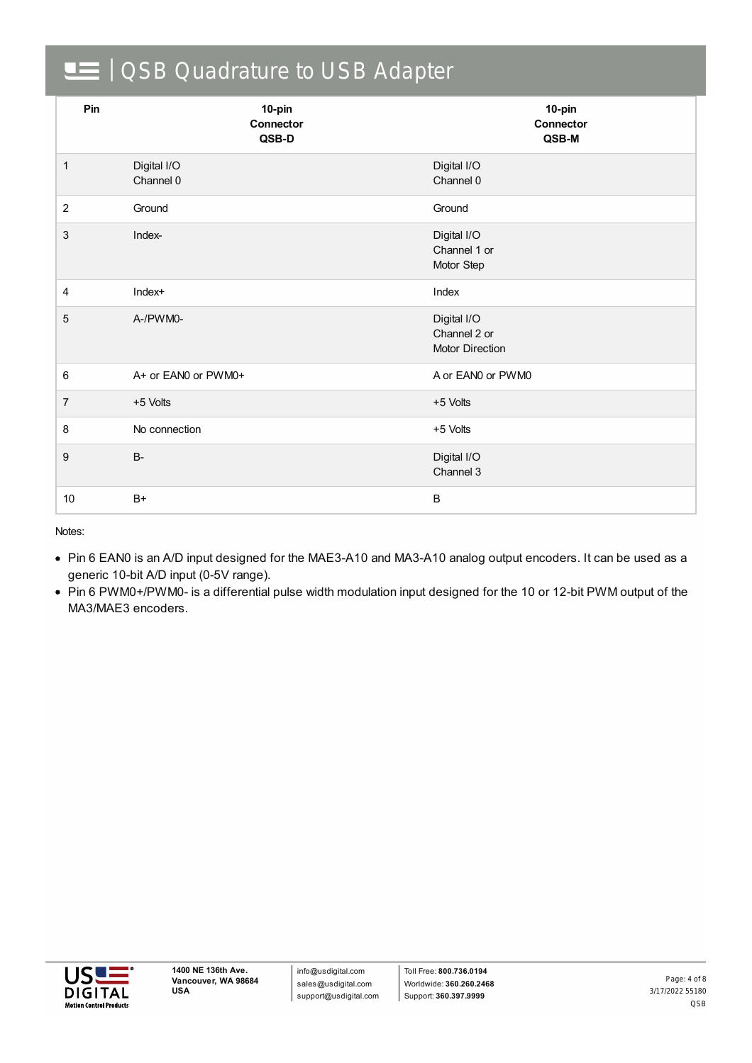# OSB Quadrature to USB Adapter

| Pin            | 10-pin<br><b>Connector</b><br>QSB-D | 10-pin<br>Connector<br>QSB-M                   |  |
|----------------|-------------------------------------|------------------------------------------------|--|
| $\mathbf{1}$   | Digital I/O<br>Channel 0            | Digital I/O<br>Channel 0                       |  |
| 2              | Ground                              | Ground                                         |  |
| $\mathbf{3}$   | Index-                              | Digital I/O<br>Channel 1 or<br>Motor Step      |  |
| 4              | Index+                              | Index                                          |  |
| $\overline{5}$ | A-/PWM0-                            | Digital I/O<br>Channel 2 or<br>Motor Direction |  |
| 6              | A+ or EAN0 or PWM0+                 | A or EAN0 or PWM0                              |  |
| $\overline{7}$ | +5 Volts                            | +5 Volts                                       |  |
| 8              | No connection                       | +5 Volts                                       |  |
| $9\,$          | <b>B-</b>                           | Digital I/O<br>Channel 3                       |  |
| 10             | $B+$                                | $\sf B$                                        |  |

Notes:

- Pin 6 EAN0 is an A/D input designed for the MAE3-A10 and MA3-A10 analog output encoders. It can be used as a generic 10-bit A/D input (0-5V range).
- Pin 6 PWM0+/PWM0- is a differential pulse width modulation input designed for the 10 or 12-bit PWM output of the MA3/MAE3 encoders.

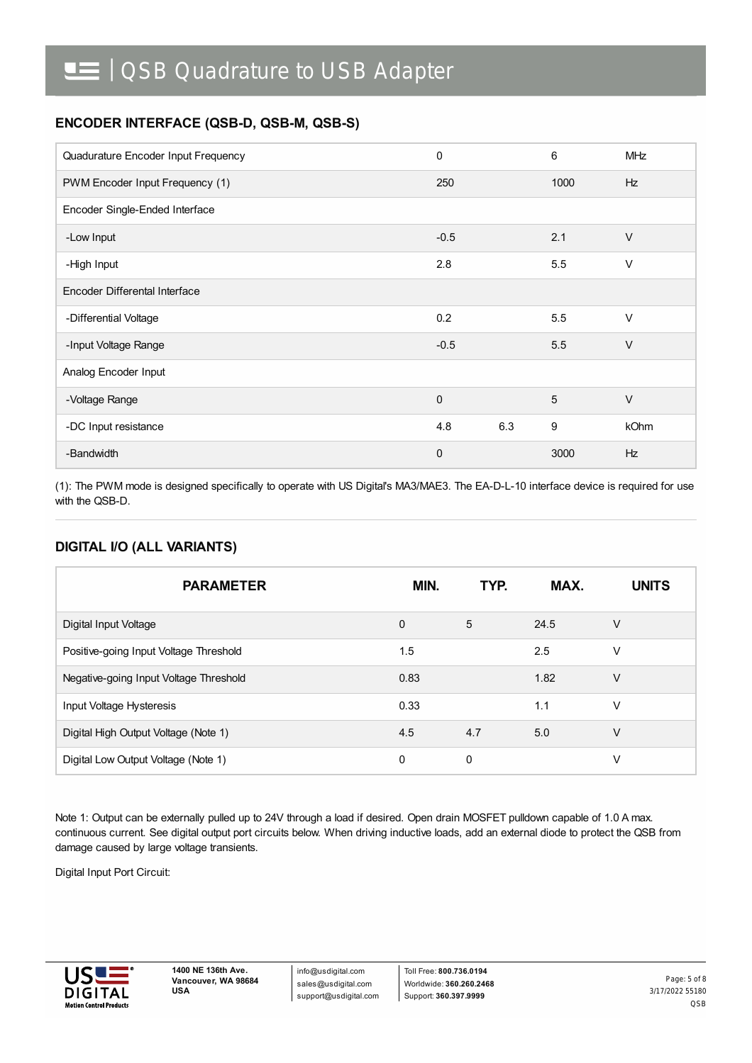## **ENCODER INTERFACE (QSB-D, QSB-M, QSB-S)**

| Quadurature Encoder Input Frequency | 0           |     | 6    | <b>MHz</b> |  |
|-------------------------------------|-------------|-----|------|------------|--|
| PWM Encoder Input Frequency (1)     | 250         |     | 1000 | <b>Hz</b>  |  |
| Encoder Single-Ended Interface      |             |     |      |            |  |
| -Low Input                          | $-0.5$      |     | 2.1  | $\vee$     |  |
| -High Input                         | 2.8         |     | 5.5  | $\vee$     |  |
| Encoder Differental Interface       |             |     |      |            |  |
| -Differential Voltage               | 0.2         |     | 5.5  | $\vee$     |  |
| -Input Voltage Range                | $-0.5$      |     | 5.5  | $\vee$     |  |
| Analog Encoder Input                |             |     |      |            |  |
| -Voltage Range                      | $\Omega$    |     | 5    | $\vee$     |  |
| -DC Input resistance                | 4.8         | 6.3 | 9    | kOhm       |  |
| -Bandwidth                          | $\mathbf 0$ |     | 3000 | Hz         |  |

(1): The PWM mode is designed specifically to operate with US Digital's MA3/MAE3. The EA-D-L-10 interface device is required for use with the QSB-D.

### **DIGITAL I/O (ALL VARIANTS)**

| <b>PARAMETER</b>                       | MIN.        | TYP. | MAX. | <b>UNITS</b> |
|----------------------------------------|-------------|------|------|--------------|
| Digital Input Voltage                  | $\mathbf 0$ | 5    | 24.5 | $\vee$       |
| Positive-going Input Voltage Threshold | 1.5         |      | 2.5  | V            |
| Negative-going Input Voltage Threshold | 0.83        |      | 1.82 | $\vee$       |
| Input Voltage Hysteresis               | 0.33        |      | 1.1  | V            |
| Digital High Output Voltage (Note 1)   | 4.5         | 4.7  | 5.0  | $\vee$       |
| Digital Low Output Voltage (Note 1)    | 0           | 0    |      | V            |

Note 1: Output can be externally pulled up to 24V through a load if desired. Open drain MOSFET pulldown capable of 1.0 A max. continuous current. See digital output port circuits below. When driving inductive loads, add an external diode to protect the QSB from damage caused by large voltage transients.

Digital Input Port Circuit:



info@usdigital.com sales@usdigital.com support@usdigital.com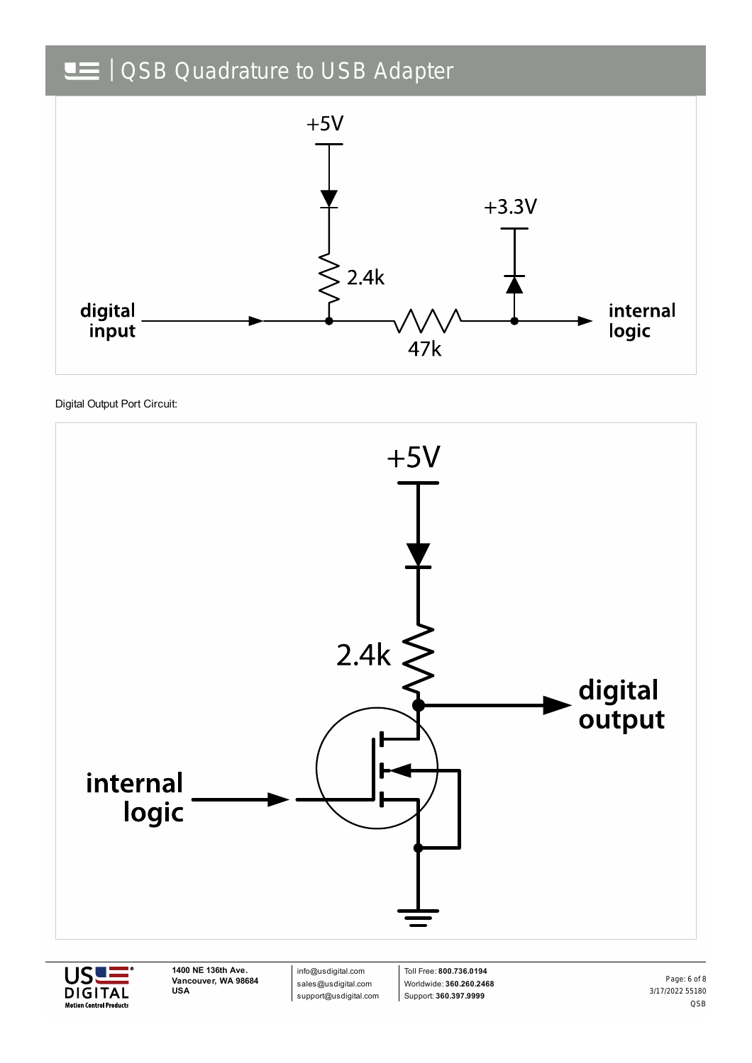# OSB Quadrature to USB Adapter



Digital Output Port Circuit:





**1400 NE 136th Ave. Vancouver, WA 98684 USA**

info@usdigital.com sales@usdigital.com support@usdigital.com

Toll Free: **800.736.0194** Worldwide: **360.260.2468** Support: **360.397.9999**

3/17/2022 55180 QSB Page: 6 of 8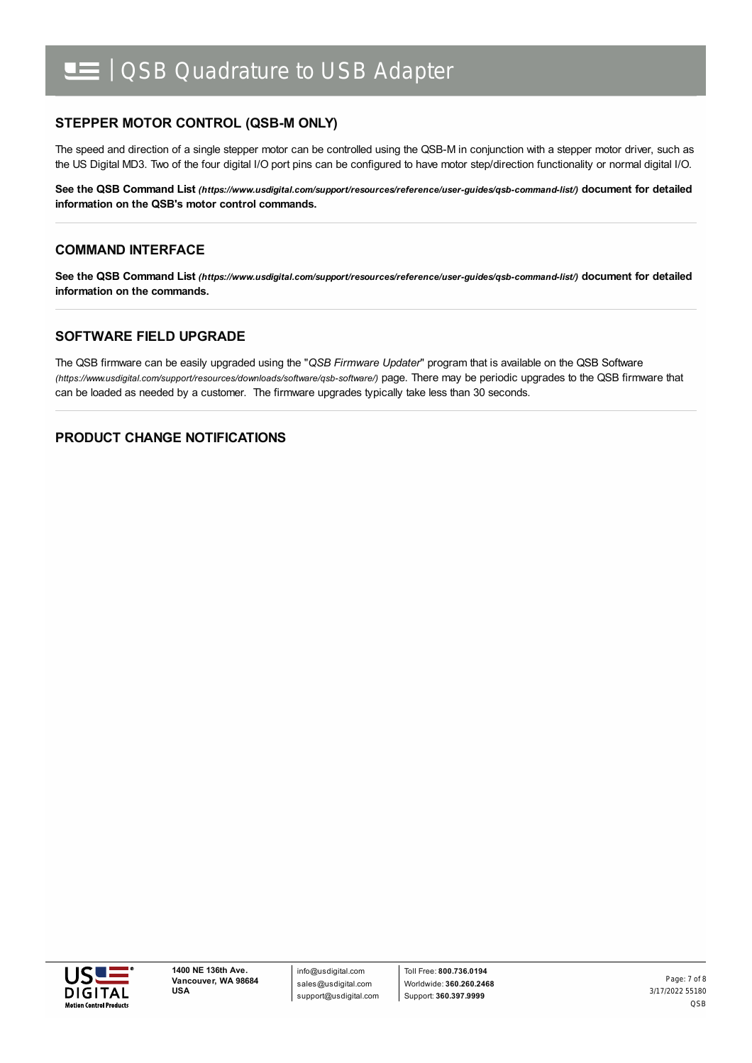# | QSB Quadrature to USB Adapter

### **STEPPER MOTOR CONTROL (QSB-M ONLY)**

The speed and direction of a single stepper motor can be controlled using the QSB-M in conjunction with a stepper motor driver, such as the US Digital MD3. Two of the four digital I/O port pins can be configured to have motor step/direction functionality or normal digital I/O.

**See the QSB Command List** *[\(https://www.usdigital.com/support/resources/reference/user-guides/qsb-command-list/\)](https://www.usdigital.com/support/resources/reference/user-guides/qsb-command-list/)* **document for detailed information on the QSB's motor control commands.**

#### **COMMAND INTERFACE**

**See the QSB Command List** *[\(https://www.usdigital.com/support/resources/reference/user-guides/qsb-command-list/\)](https://www.usdigital.com/support/resources/reference/user-guides/qsb-command-list/)* **document for detailed information on the commands.**

#### **SOFTWARE FIELD UPGRADE**

The QSB firmware can be easily upgraded using the "*QSB Firmware Updater*" program that is available on the QSB Software *(https://www.usdigital.com/support/resources/downloads/software/qsb-software/)* page. There may be periodic upgrades to the QSB firmware that can be loaded as needed by a customer. The firmware upgrades typically take less than 30 seconds.

#### **PRODUCT CHANGE NOTIFICATIONS**